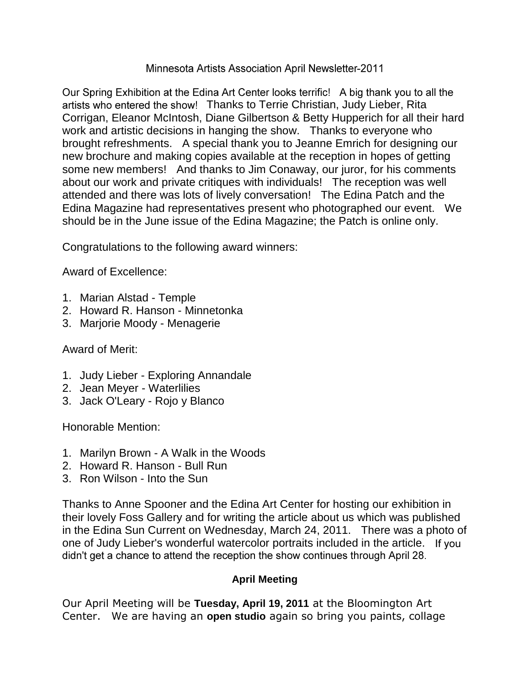### Minnesota Artists Association April Newsletter-2011

Our Spring Exhibition at the Edina Art Center looks terrific! A big thank you to all the artists who entered the show! Thanks to Terrie Christian, Judy Lieber, Rita Corrigan, Eleanor McIntosh, Diane Gilbertson & Betty Hupperich for all their hard work and artistic decisions in hanging the show. Thanks to everyone who brought refreshments. A special thank you to Jeanne Emrich for designing our new brochure and making copies available at the reception in hopes of getting some new members! And thanks to Jim Conaway, our juror, for his comments about our work and private critiques with individuals! The reception was well attended and there was lots of lively conversation! The Edina Patch and the Edina Magazine had representatives present who photographed our event. We should be in the June issue of the Edina Magazine; the Patch is online only.

Congratulations to the following award winners:

Award of Excellence:

- 1. Marian Alstad Temple
- 2. Howard R. Hanson Minnetonka
- 3. Marjorie Moody Menagerie

# Award of Merit:

- 1. Judy Lieber Exploring Annandale
- 2. Jean Meyer Waterlilies
- 3. Jack O'Leary Rojo y Blanco

Honorable Mention:

- 1. Marilyn Brown A Walk in the Woods
- 2. Howard R. Hanson Bull Run
- 3. Ron Wilson Into the Sun

Thanks to Anne Spooner and the Edina Art Center for hosting our exhibition in their lovely Foss Gallery and for writing the article about us which was published in the Edina Sun Current on Wednesday, March 24, 2011. There was a photo of one of Judy Lieber's wonderful watercolor portraits included in the article. didn't get a chance to attend the reception the show continues through April 28.

# **April Meeting**

Our April Meeting will be **Tuesday, April 19, 2011** at the Bloomington Art Center. We are having an **open studio** again so bring you paints, collage